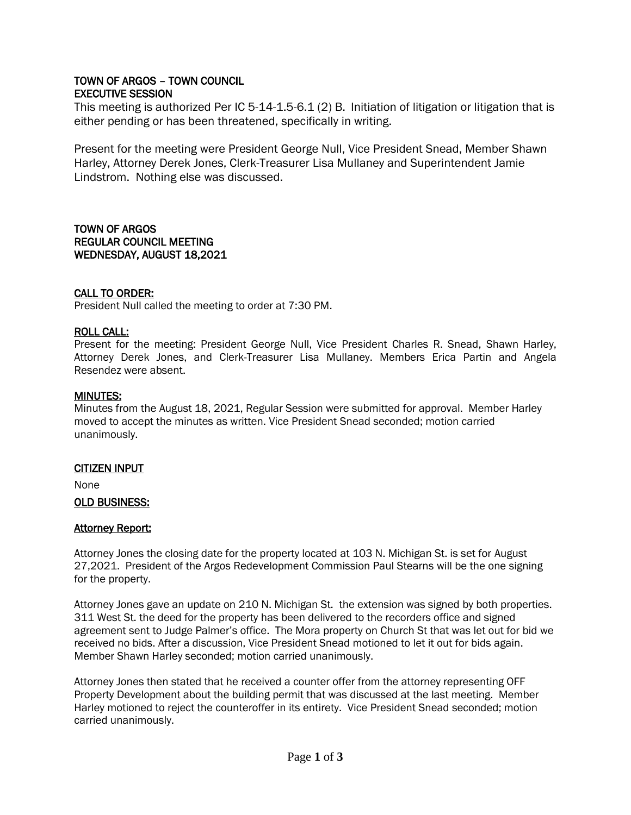# TOWN OF ARGOS – TOWN COUNCIL EXECUTIVE SESSION

This meeting is authorized Per IC 5-14-1.5-6.1 (2) B. Initiation of litigation or litigation that is either pending or has been threatened, specifically in writing.

Present for the meeting were President George Null, Vice President Snead, Member Shawn Harley, Attorney Derek Jones, Clerk-Treasurer Lisa Mullaney and Superintendent Jamie Lindstrom. Nothing else was discussed.

TOWN OF ARGOS REGULAR COUNCIL MEETING WEDNESDAY, AUGUST 18,2021

## CALL TO ORDER:

President Null called the meeting to order at 7:30 PM.

## ROLL CALL:

Present for the meeting: President George Null, Vice President Charles R. Snead, Shawn Harley, Attorney Derek Jones, and Clerk-Treasurer Lisa Mullaney. Members Erica Partin and Angela Resendez were absent.

# MINUTES:

Minutes from the August 18, 2021, Regular Session were submitted for approval. Member Harley moved to accept the minutes as written. Vice President Snead seconded; motion carried unanimously.

## CITIZEN INPUT

None

## OLD BUSINESS:

## Attorney Report:

Attorney Jones the closing date for the property located at 103 N. Michigan St. is set for August 27,2021. President of the Argos Redevelopment Commission Paul Stearns will be the one signing for the property.

Attorney Jones gave an update on 210 N. Michigan St. the extension was signed by both properties. 311 West St. the deed for the property has been delivered to the recorders office and signed agreement sent to Judge Palmer's office. The Mora property on Church St that was let out for bid we received no bids. After a discussion, Vice President Snead motioned to let it out for bids again. Member Shawn Harley seconded; motion carried unanimously.

Attorney Jones then stated that he received a counter offer from the attorney representing OFF Property Development about the building permit that was discussed at the last meeting. Member Harley motioned to reject the counteroffer in its entirety. Vice President Snead seconded; motion carried unanimously.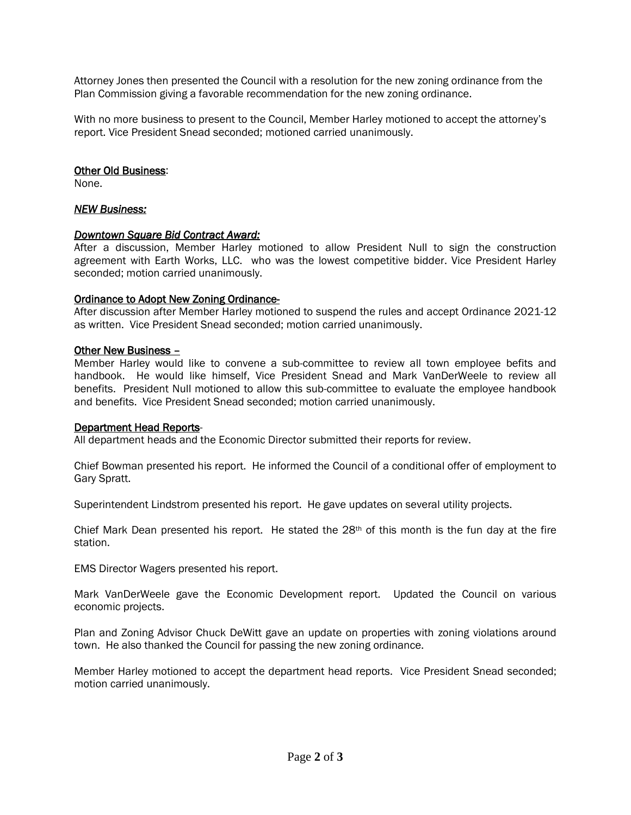Attorney Jones then presented the Council with a resolution for the new zoning ordinance from the Plan Commission giving a favorable recommendation for the new zoning ordinance.

With no more business to present to the Council, Member Harley motioned to accept the attorney's report. Vice President Snead seconded; motioned carried unanimously.

#### Other Old Business:

None.

## *NEW Business:*

#### *Downtown Square Bid Contract Award:*

After a discussion, Member Harley motioned to allow President Null to sign the construction agreement with Earth Works, LLC. who was the lowest competitive bidder. Vice President Harley seconded; motion carried unanimously.

#### Ordinance to Adopt New Zoning Ordinance-

After discussion after Member Harley motioned to suspend the rules and accept Ordinance 2021-12 as written. Vice President Snead seconded; motion carried unanimously.

#### Other New Business –

Member Harley would like to convene a sub-committee to review all town employee befits and handbook. He would like himself, Vice President Snead and Mark VanDerWeele to review all benefits. President Null motioned to allow this sub-committee to evaluate the employee handbook and benefits. Vice President Snead seconded; motion carried unanimously.

#### Department Head Reports-

All department heads and the Economic Director submitted their reports for review.

Chief Bowman presented his report. He informed the Council of a conditional offer of employment to Gary Spratt.

Superintendent Lindstrom presented his report. He gave updates on several utility projects.

Chief Mark Dean presented his report. He stated the  $28<sup>th</sup>$  of this month is the fun day at the fire station.

EMS Director Wagers presented his report.

Mark VanDerWeele gave the Economic Development report. Updated the Council on various economic projects.

Plan and Zoning Advisor Chuck DeWitt gave an update on properties with zoning violations around town. He also thanked the Council for passing the new zoning ordinance.

Member Harley motioned to accept the department head reports. Vice President Snead seconded; motion carried unanimously.